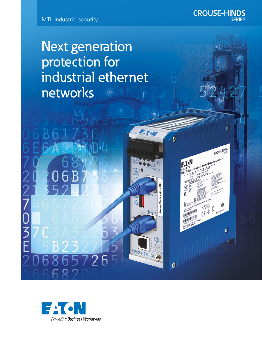

Next generation protection for industrial ethernet networks

**ATON** 

9202-ETS

 $\overline{\mathcal{E}}$ 

 $\boldsymbol{\theta}$ 

 $F_{1}$ 

**CROUSE-HINDS** 

CROUSE-HINDS

 $\boldsymbol{v}$ 

o Industrial Ethernet Security Appliance

FEGELASA E

**SERIES** 



5726

–<br>F<br>F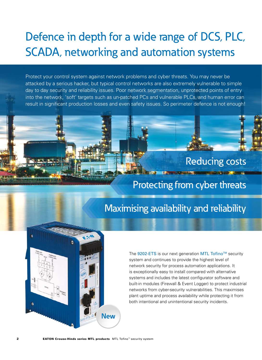# Defence in depth for a wide range of DCS, PLC, SCADA, networking and automation systems

Protect your control system against network problems and cyber threats. You may never be attacked by a serious hacker, but typical control networks are also extremely vulnerable to simple day to day security and reliability issues. Poor network segmentation, unprotected points of entry into the network, 'soft' targets such as un-patched PCs and vulnerable PLCs, and human error can result in significant production losses and even safety issues. So perimeter defence is not enough!

## Reducing costs

### Protecting from cyber threats

# Maximising availability and reliability



The 9202-ETS is our next generation MTL Tofino<sup>™</sup> security system and continues to provide the highest level of network security for process automation applications. It is exceptionally easy to install compared with alternative systems and includes the latest configurator software and built-in modules (Firewall & Event Logger) to protect industrial networks from cyber-security vulnerabilities. This maximises plant uptime and process availability while protecting it from both intentional and unintentional security incidents.

 $2$  EATON Crouse-Hinds series MTL products  $MTL$  Tofino<sup>n</sup> security system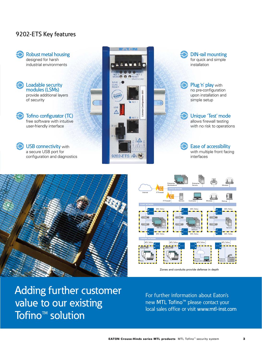### 9202-ETS Key features







Adding further customer value to our existing Tofino<sup>™</sup> solution

For further information about Eaton's new MTL Tofino<sup>™</sup> please contact your local sales office or visit www.mtl-inst.com